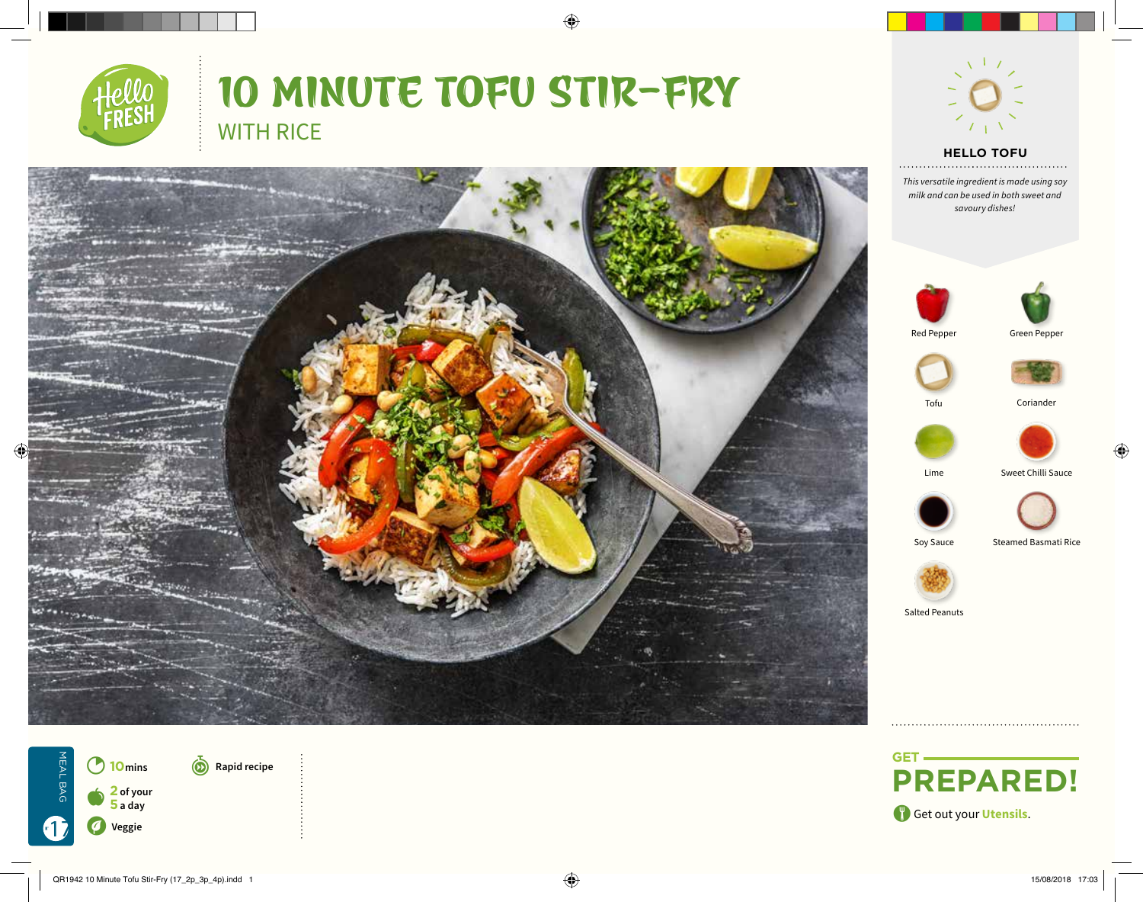

# 10 MINUTE TOFU STIR-FRY WITH RICE

 $\bigoplus$ 





*Text This versatile ingredient is made using soy milk and can be used in both sweet and savoury dishes!*







Tofu Coriander







Lime Sweet Chilli Sauce









Soy Sauce Steamed Basmati Rice

Salted Peanuts



**(c)** Rapid recipe

2**<sup>10</sup>mins** a**<sup>2</sup> of your 5 a day** V**Veggie**

MEAL BAG

17